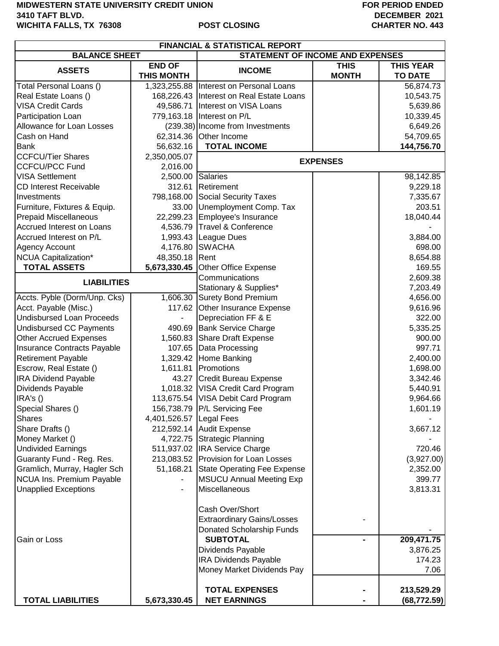## **MIDWESTERN STATE UNIVERSITY CREDIT UNION 3410 TAFT BLVD. WICHITA FALLS, TX 76308 POST CLOSING**

## **FOR PERIOD ENDED DECEMBER 2021 CHARTER NO. 443**

| <b>FINANCIAL &amp; STATISTICAL REPORT</b> |                                    |                                          |                             |                                    |
|-------------------------------------------|------------------------------------|------------------------------------------|-----------------------------|------------------------------------|
| <b>BALANCE SHEET</b>                      |                                    | <b>STATEMENT OF INCOME AND EXPENSES</b>  |                             |                                    |
| <b>ASSETS</b>                             | <b>END OF</b><br><b>THIS MONTH</b> | <b>INCOME</b>                            | <b>THIS</b><br><b>MONTH</b> | <b>THIS YEAR</b><br><b>TO DATE</b> |
| Total Personal Loans ()                   |                                    | 1,323,255.88 Interest on Personal Loans  |                             | 56,874.73                          |
| Real Estate Loans ()                      |                                    | 168,226.43 Interest on Real Estate Loans |                             | 10,543.75                          |
| <b>VISA Credit Cards</b>                  | 49,586.71                          | Interest on VISA Loans                   |                             | 5,639.86                           |
| Participation Loan                        | 779,163.18                         | Interest on P/L                          |                             | 10,339.45                          |
| <b>Allowance for Loan Losses</b>          |                                    | (239.38) Income from Investments         |                             | 6,649.26                           |
| Cash on Hand                              | 62,314.36                          | Other Income                             |                             | 54,709.65                          |
| <b>Bank</b>                               | 56,632.16                          | <b>TOTAL INCOME</b>                      |                             | 144,756.70                         |
| <b>CCFCU/Tier Shares</b>                  | 2,350,005.07                       | <b>EXPENSES</b>                          |                             |                                    |
| <b>CCFCU/PCC Fund</b>                     | 2,016.00                           |                                          |                             |                                    |
| <b>VISA Settlement</b>                    | 2,500.00                           | Salaries                                 |                             | 98,142.85                          |
| <b>CD Interest Receivable</b>             | 312.61                             | Retirement                               |                             | 9,229.18                           |
| Investments                               | 798,168.00                         | Social Security Taxes                    |                             | 7,335.67                           |
| Furniture, Fixtures & Equip.              | 33.00                              | Unemployment Comp. Tax                   |                             | 203.51                             |
| <b>Prepaid Miscellaneous</b>              |                                    | 22,299.23 Employee's Insurance           |                             | 18,040.44                          |
| Accrued Interest on Loans                 |                                    | 4,536.79 Travel & Conference             |                             |                                    |
| Accrued Interest on P/L                   |                                    | 1,993.43 League Dues                     |                             | 3,884.00                           |
| <b>Agency Account</b>                     | 4,176.80                           | <b>SWACHA</b>                            |                             | 698.00                             |
| NCUA Capitalization*                      | 48,350.18                          | Rent                                     |                             | 8,654.88                           |
| <b>TOTAL ASSETS</b>                       | 5,673,330.45                       | Other Office Expense                     |                             | 169.55                             |
|                                           |                                    | Communications                           |                             | 2,609.38                           |
| <b>LIABILITIES</b>                        |                                    | Stationary & Supplies*                   |                             | 7,203.49                           |
| Accts. Pyble (Dorm/Unp. Cks)              | 1,606.30                           | <b>Surety Bond Premium</b>               |                             | 4,656.00                           |
| Acct. Payable (Misc.)                     | 117.62                             | Other Insurance Expense                  |                             | 9,616.96                           |
| <b>Undisbursed Loan Proceeds</b>          |                                    | Depreciation FF & E                      |                             | 322.00                             |
| <b>Undisbursed CC Payments</b>            | 490.69                             | <b>Bank Service Charge</b>               |                             | 5,335.25                           |
| <b>Other Accrued Expenses</b>             | 1,560.83                           | Share Draft Expense                      |                             | 900.00                             |
| Insurance Contracts Payable               | 107.65                             | Data Processing                          |                             | 997.71                             |
| <b>Retirement Payable</b>                 |                                    | 1,329.42 Home Banking                    |                             | 2,400.00                           |
| Escrow, Real Estate ()                    | 1,611.81                           | Promotions                               |                             | 1,698.00                           |
| <b>IRA Dividend Payable</b>               | 43.27                              | Credit Bureau Expense                    |                             | 3,342.46                           |
| Dividends Payable                         |                                    | 1,018.32 VISA Credit Card Program        |                             | 5,440.91                           |
| IRA's ()                                  |                                    | 113,675.54 VISA Debit Card Program       |                             | 9,964.66                           |
| Special Shares ()                         |                                    | 156,738.79   P/L Servicing Fee           |                             | 1,601.19                           |
| <b>Shares</b>                             | 4,401,526.57 Legal Fees            |                                          |                             |                                    |
| Share Drafts ()                           |                                    | 212,592.14 Audit Expense                 |                             | 3,667.12                           |
| Money Market ()                           |                                    | 4,722.75 Strategic Planning              |                             |                                    |
| <b>Undivided Earnings</b>                 |                                    | 511,937.02  IRA Service Charge           |                             | 720.46                             |
| Guaranty Fund - Reg. Res.                 | 213,083.52                         | <b>Provision for Loan Losses</b>         |                             | (3,927.00)                         |
| Gramlich, Murray, Hagler Sch              | 51,168.21                          | State Operating Fee Expense              |                             | 2,352.00                           |
| NCUA Ins. Premium Payable                 |                                    | <b>MSUCU Annual Meeting Exp</b>          |                             | 399.77                             |
| <b>Unapplied Exceptions</b>               |                                    | Miscellaneous                            |                             | 3,813.31                           |
|                                           |                                    |                                          |                             |                                    |
|                                           |                                    | Cash Over/Short                          |                             |                                    |
|                                           |                                    | <b>Extraordinary Gains/Losses</b>        |                             |                                    |
|                                           |                                    | Donated Scholarship Funds                |                             |                                    |
| Gain or Loss                              |                                    | <b>SUBTOTAL</b>                          |                             | 209,471.75                         |
|                                           |                                    | Dividends Payable                        |                             | 3,876.25                           |
|                                           |                                    | <b>IRA Dividends Payable</b>             |                             | 174.23                             |
|                                           |                                    | Money Market Dividends Pay               |                             | 7.06                               |
|                                           |                                    |                                          |                             |                                    |
|                                           |                                    | <b>TOTAL EXPENSES</b>                    |                             | 213,529.29                         |
| <b>TOTAL LIABILITIES</b>                  | 5,673,330.45                       | <b>NET EARNINGS</b>                      |                             | (68, 772.59)                       |